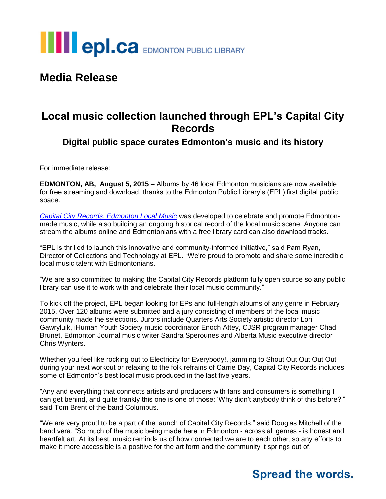

## **Media Release**

### **Local music collection launched through EPL's Capital City Records**

**Digital public space curates Edmonton's music and its history**

For immediate release:

**EDMONTON, AB, August 5, 2015** – Albums by 46 local Edmonton musicians are now available for free streaming and download, thanks to the Edmonton Public Library's (EPL) first digital public space.

*[Capital City Records: Edmonton Local Music](http://www.capitalcityrecords.ca/)* was developed to celebrate and promote Edmontonmade music, while also building an ongoing historical record of the local music scene. Anyone can stream the albums online and Edmontonians with a free library card can also download tracks.

"EPL is thrilled to launch this innovative and community-informed initiative," said Pam Ryan, Director of Collections and Technology at EPL. "We're proud to promote and share some incredible local music talent with Edmontonians.

"We are also committed to making the Capital City Records platform fully open source so any public library can use it to work with and celebrate their local music community."

To kick off the project, EPL began looking for EPs and full-length albums of any genre in February 2015. Over 120 albums were submitted and a jury consisting of members of the local music community made the selections. Jurors include Quarters Arts Society artistic director Lori Gawryluik, iHuman Youth Society music coordinator Enoch Attey, CJSR program manager Chad Brunet, Edmonton Journal music writer Sandra Sperounes and Alberta Music executive director Chris Wynters.

Whether you feel like rocking out to Electricity for Everybody!, jamming to Shout Out Out Out Out during your next workout or relaxing to the folk refrains of Carrie Day, Capital City Records includes some of Edmonton's best local music produced in the last five years.

"Any and everything that connects artists and producers with fans and consumers is something I can get behind, and quite frankly this one is one of those: 'Why didn't anybody think of this before?'" said Tom Brent of the band Columbus.

"We are very proud to be a part of the launch of Capital City Records," said Douglas Mitchell of the band vera. "So much of the music being made here in Edmonton - across all genres - is honest and heartfelt art. At its best, music reminds us of how connected we are to each other, so any efforts to make it more accessible is a positive for the art form and the community it springs out of.

## **Spread the words.**